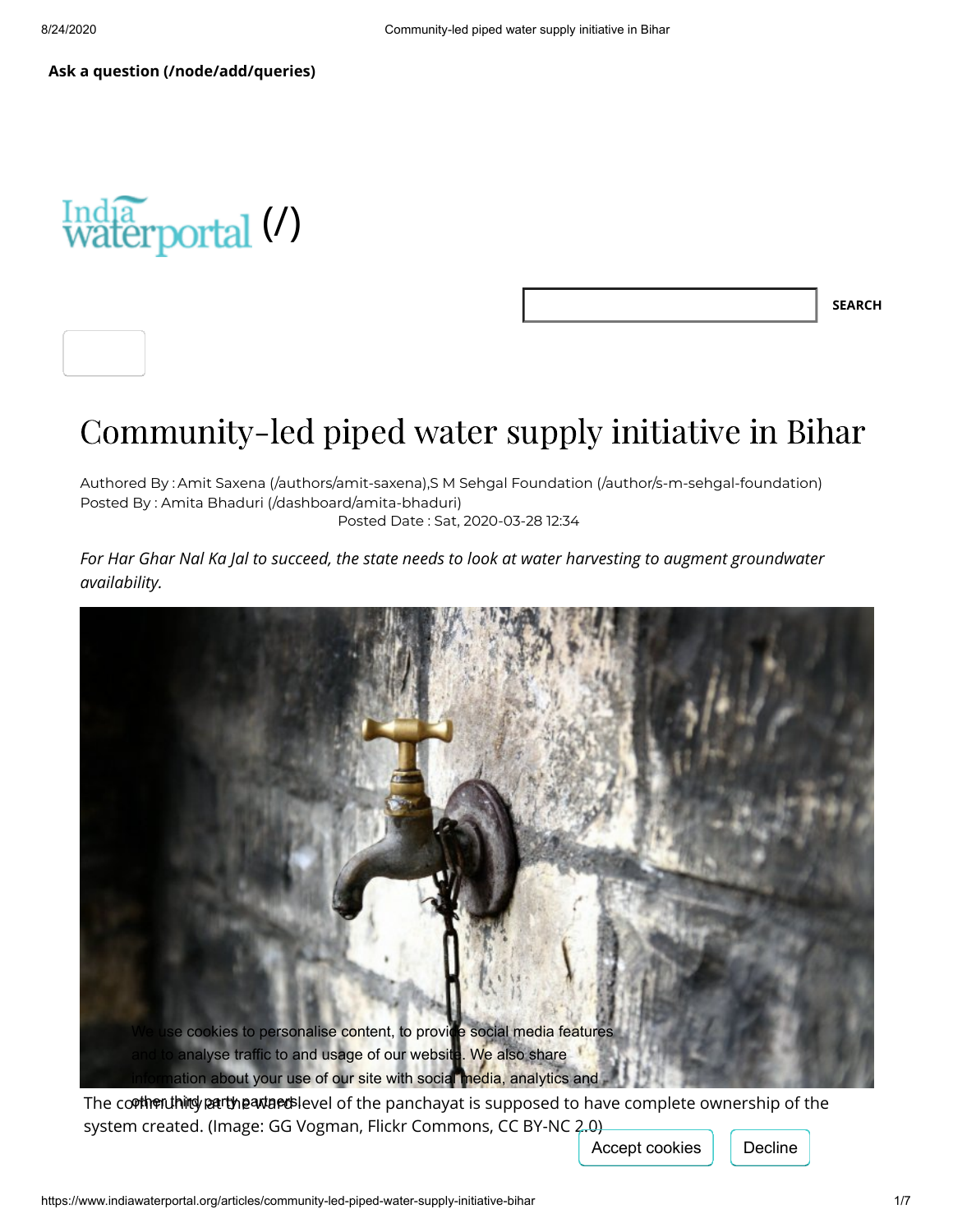

**SEARCH**

# Community-led piped water supply initiative in Bihar

Authored By : Amit Saxena [\(/authors/amit-saxena\)](https://www.indiawaterportal.org/authors/amit-saxena),S M Sehgal Foundation [\(/author/s-m-sehgal-foundation\)](https://www.indiawaterportal.org/author/s-m-sehgal-foundation) Posted By : Amita Bhaduri [\(/dashboard/amita-bhaduri\)](https://www.indiawaterportal.org/dashboard/amita-bhaduri) Posted Date : Sat, 2020-03-28 12:34

*For Har Ghar Nal Ka Jal to succeed, the state needs to look at water harvesting to augment groundwater availability.*



system created. (Image: GG Vogman, Flickr Commons, CC BY-NC 2.0)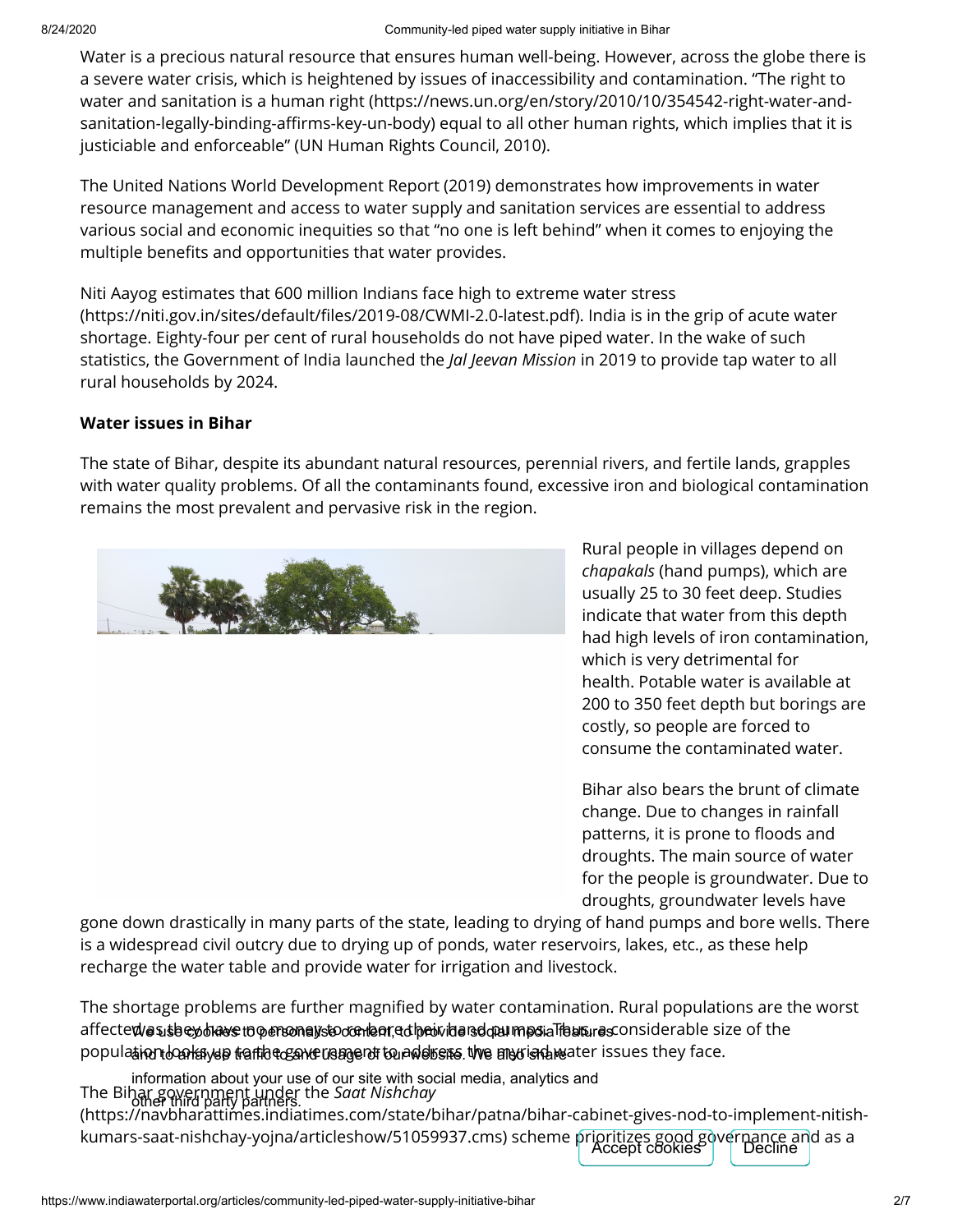Water is a precious natural resource that ensures human well-being. However, across the globe there is a severe water crisis, which is heightened by issues of inaccessibility and contamination. "The right to water and sanitation is a human right (https://news.un.org/en/story/2010/10/354542-right-water-andsanitation-legally-binding-affirms-key-un-body) equal to all other human rights, which implies that it is justiciable and enforceable" (UN Human Rights Council, 2010).

The United Nations World Development Report (2019) demonstrates how improvements in water resource management and access to water supply and sanitation services are essential to address various social and economic inequities so that "no one is left behind" when it comes to enjoying the multiple benefits and opportunities that water provides.

Niti Aayog estimates that 600 million Indians face high to extreme water stress (https://niti.gov.in/sites/default/files/2019-08/CWMI-2.0-latest.pdf). India is in the grip of acute water shortage. Eighty-four per cent of rural households do not have piped water. In the wake of such statistics, the Government of India launched the *Jal Jeevan Mission* in 2019 to provide tap water to all rural households by 2024.

## **Water issues in Bihar**

The state of Bihar, despite its abundant natural resources, perennial rivers, and fertile lands, grapples with water quality problems. Of all the contaminants found, excessive iron and biological contamination remains the most prevalent and pervasive risk in the region.



Rural people in villages depend on *chapakals* (hand pumps), which are usually 25 to 30 feet deep. Studies indicate that water from this depth had high levels of iron contamination, which is very detrimental for health. Potable water is available at 200 to 350 feet depth but borings are costly, so people are forced to consume the contaminated water.

Bihar also bears the brunt of climate change. Due to changes in rainfall patterns, it is prone to floods and droughts. The main source of water for the people is groundwater. Due to droughts, groundwater levels have

gone down drastically in many parts of the state, leading to drying of hand pumps and bore wells. There is a widespread civil outcry due to drying up of ponds, water reservoirs, lakes, etc., as these help recharge the water table and provide water for irrigation and livestock.

The shortage problems are further magnified by water contamination. Rural populations are the worst affected/asuslaey blaws to personalysto conlaar, ad hanvidars do al mast a Thaus, rasconsiderable size of the  ${\sf popula}$ tion  $b$ oakayap traffic to and usagent to address. We also is the issues they face.

The Bihar government under the *Saat Nishchay* other third party partners. [\(https://navbharattimes.indiatimes.com/state/bihar/patna/bihar-cabinet-gives-nod-to-implement-nitish](https://navbharattimes.indiatimes.com/state/bihar/patna/bihar-cabinet-gives-nod-to-implement-nitish-kumars-saat-nishchay-yojna/articleshow/51059937.cms)kumars-saat-nishchay-yojna/articleshow/51059937.cms) scheme prioritizes good governance and as a<br>Accept cookies Decline information about your use of our site with social media, analytics and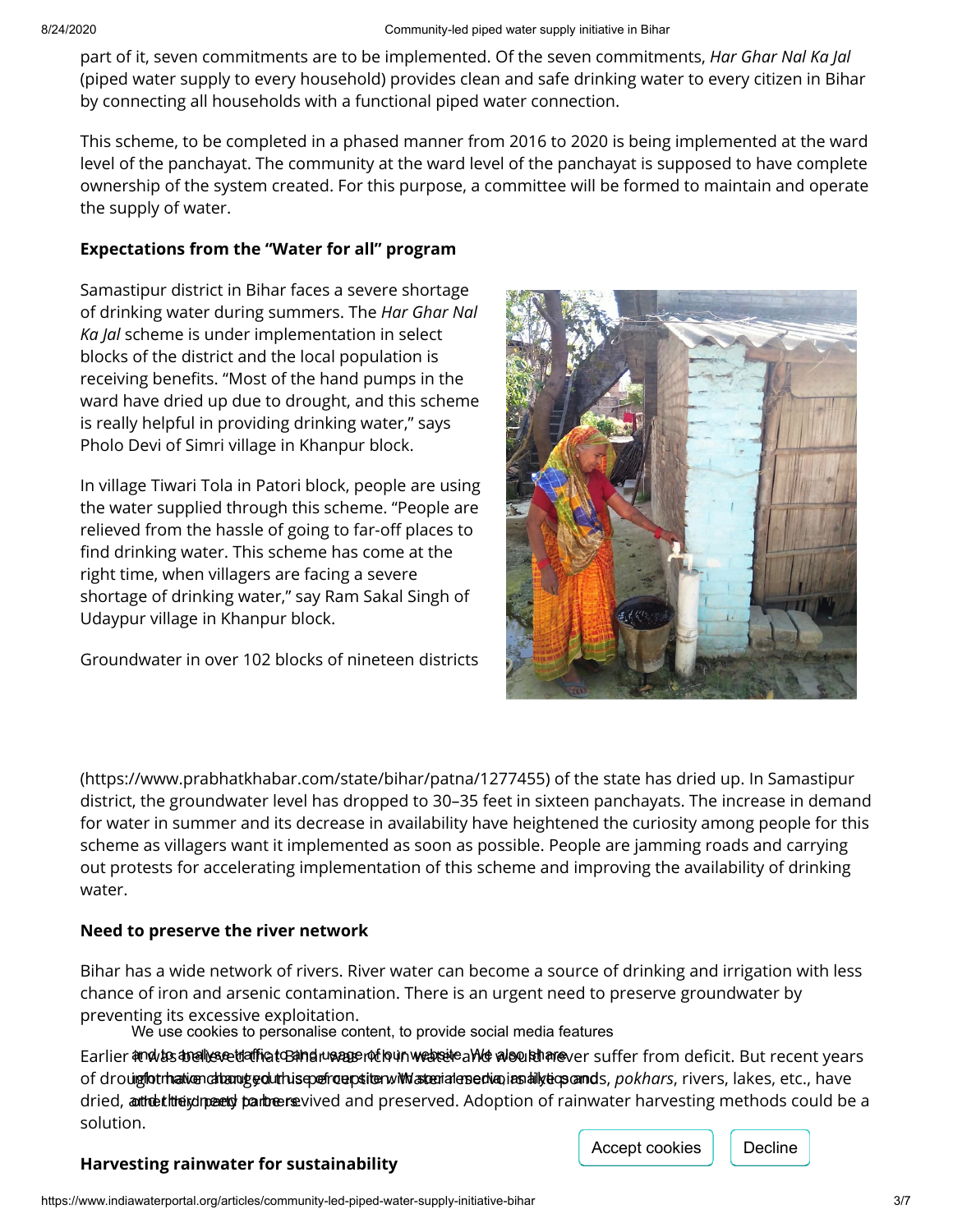part of it, seven commitments are to be implemented. Of the seven commitments, *Har Ghar Nal Ka Jal* (piped water supply to every household) provides clean and safe drinking water to every citizen in Bihar by connecting all households with a functional piped water connection.

This scheme, to be completed in a phased manner from 2016 to 2020 is being implemented at the ward level of the panchayat. The community at the ward level of the panchayat is supposed to have complete ownership of the system created. For this purpose, a committee will be formed to maintain and operate the supply of water.

#### **Expectations from the "Water for all" program**

Samastipur district in Bihar faces a severe shortage of drinking water during summers. The *Har Ghar Nal Ka Jal* scheme is under implementation in select blocks of the district and the local population is receiving benefits. "Most of the hand pumps in the ward have dried up due to drought, and this scheme is really helpful in providing drinking water," says Pholo Devi of Simri village in Khanpur block.

In village Tiwari Tola in Patori block, people are using the water supplied through this scheme. "People are relieved from the hassle of going to far-off places to find drinking water. This scheme has come at the right time, when villagers are facing a severe shortage of drinking water," say Ram Sakal Singh of Udaypur village in Khanpur block.

Groundwater in over 102 blocks of nineteen districts



[\(https://www.prabhatkhabar.com/state/bihar/patna/1277455\)](https://www.prabhatkhabar.com/state/bihar/patna/1277455) of the state has dried up. In Samastipur district, the groundwater level has dropped to 30–35 feet in sixteen panchayats. The increase in demand for water in summer and its decrease in availability have heightened the curiosity among people for this scheme as villagers want it implemented as soon as possible. People are jamming roads and carrying out protests for accelerating implementation of this scheme and improving the availability of drinking water.

#### **Need to preserve the river network**

Bihar has a wide network of rivers. River water can become a source of drinking and irrigation with less chance of iron and arsenic contamination. There is an urgent need to preserve groundwater by preventing its excessive exploitation.

We use cookies to personalise content, to provide social media features

Earlier and to analyse traffic to Bandru aggent foun website and the decution and fer from deficit. But recent years of drouigfotmation altanug goluthis epefroup sitenwith aterial ensedianias hilly tions and s., *pokhars,* rivers, lakes, etc., have dried, anthet hheid peend partneen evived and preserved. Adoption of rainwater harvesting methods could be a solution.

## **Harvesting rainwater for sustainability**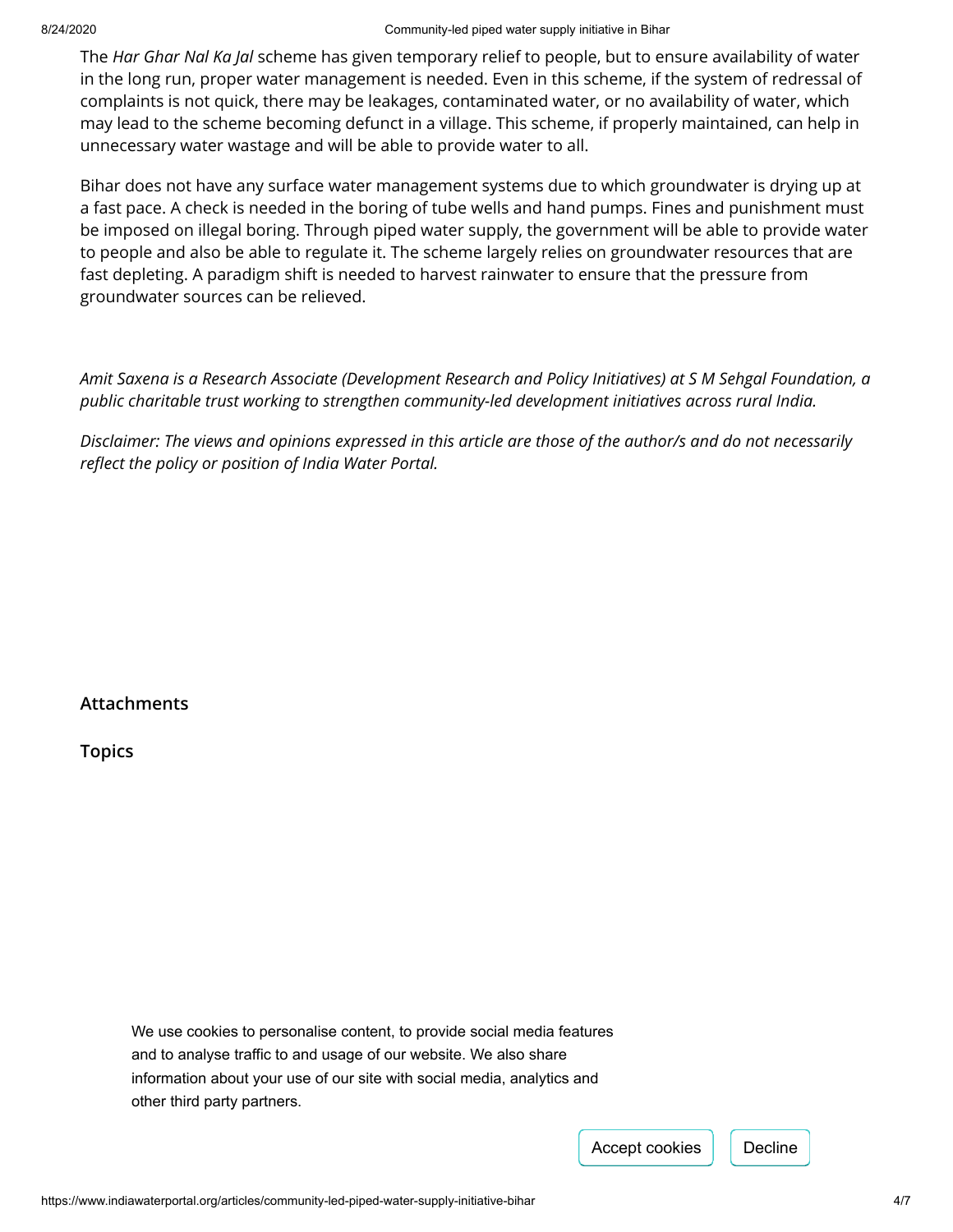The *Har Ghar Nal Ka Jal* scheme has given temporary relief to people, but to ensure availability of water in the long run, proper water management is needed. Even in this scheme, if the system of redressal of complaints is not quick, there may be leakages, contaminated water, or no availability of water, which may lead to the scheme becoming defunct in a village. This scheme, if properly maintained, can help in unnecessary water wastage and will be able to provide water to all.

Bihar does not have any surface water management systems due to which groundwater is drying up at a fast pace. A check is needed in the boring of tube wells and hand pumps. Fines and punishment must be imposed on illegal boring. Through piped water supply, the government will be able to provide water to people and also be able to regulate it. The scheme largely relies on groundwater resources that are fast depleting. A paradigm shift is needed to harvest rainwater to ensure that the pressure from groundwater sources can be relieved.

*Amit Saxena is a Research Associate (Development Research and Policy Initiatives) at S M Sehgal Foundation, a public charitable trust working to strengthen community-led development initiatives across rural India.*

*Disclaimer: The views and opinions expressed in this article are those of the author/s and do not necessarily* reflect the policy or position of India Water Portal.

## **Attachments**

**Topics**

We use cookies to personalise content, to provide social media features and to analyse traffic to and usage of our website. We also share information about your use of our site with social media, analytics and other third party partners.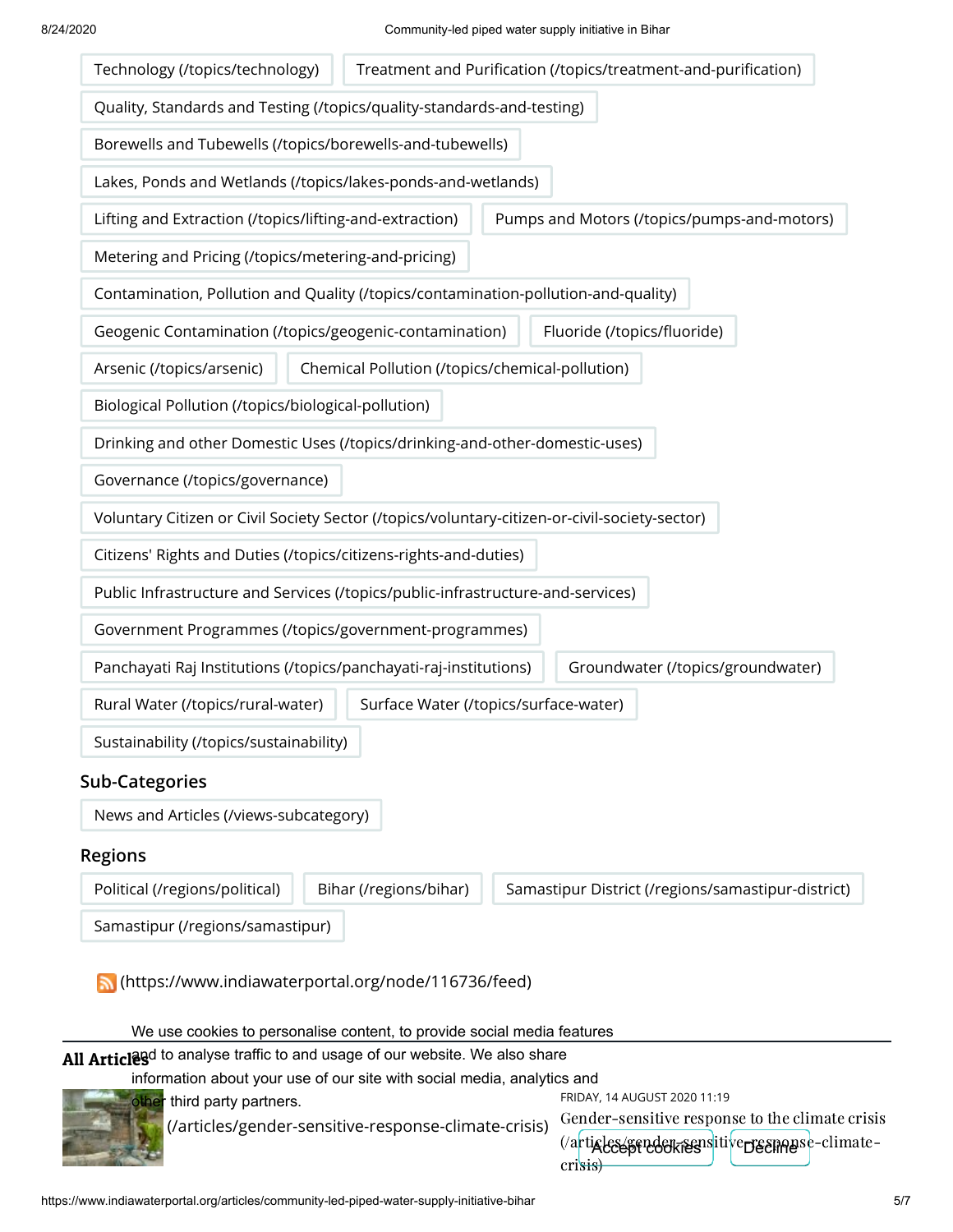

 [\(/articles/gender-sensitive-response-climate-crisis\)](https://www.indiawaterportal.org/articles/gender-sensitive-response-climate-crisis)

Gender-sensitive response to the climate crisis (/a<mark>rticles/gendekisens</mark>itive<del>p gen</del>agse-climatecrisis)